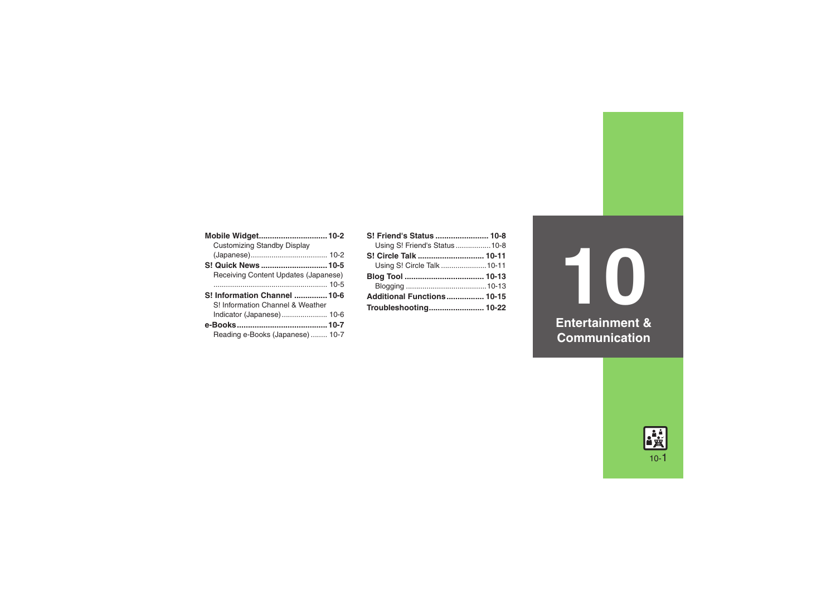| <b>Customizing Standby Display</b>   |  |
|--------------------------------------|--|
|                                      |  |
| S! Quick News  10-5                  |  |
| Receiving Content Updates (Japanese) |  |
|                                      |  |
|                                      |  |
| S! Information Channel  10-6         |  |
| S! Information Channel & Weather     |  |
| Indicator (Japanese)  10-6           |  |
|                                      |  |
| Reading e-Books (Japanese) 10-7      |  |

| S! Friend's Status  10-8          |  |
|-----------------------------------|--|
| Using S! Friend's Status10-8      |  |
| S! Circle Talk  10-11             |  |
| Using S! Circle Talk  10-11       |  |
|                                   |  |
|                                   |  |
| <b>Additional Functions 10-15</b> |  |
| Troubleshooting 10-22             |  |

**10 Entertainment & Communication**

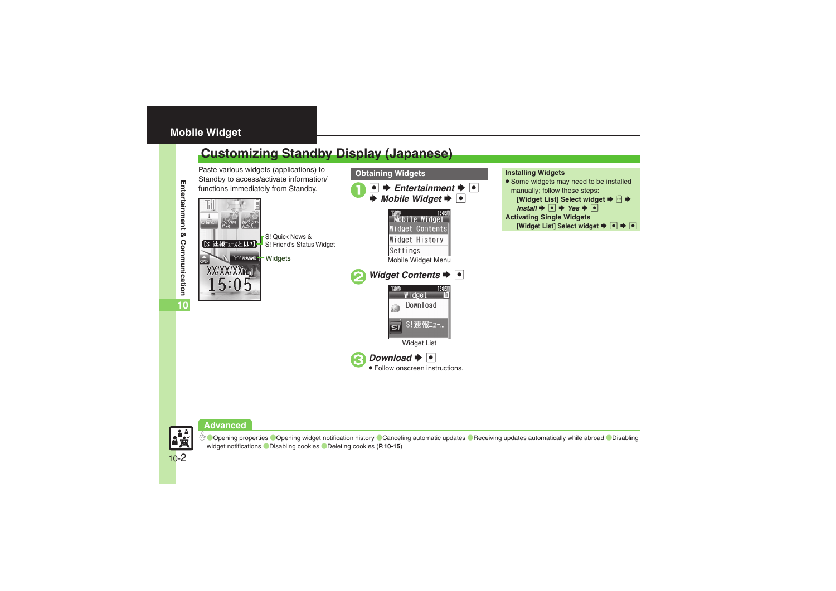# <span id="page-1-0"></span>**Mobile Widget**

# <span id="page-1-1"></span>**Customizing Standby Display (Japanese)**

Paste various widgets (applications) to Standby to access/activate information/ functions immediately from Standby. 1 **1 3 3 Entertainment**  $\rightarrow$  <sup>1</sup>



### **Obtaining Widgets Installing Widgets**

**•** Some widgets may need to be installed manually; follow these steps: **[Widget List] Select widget**  $\Rightarrow$  **B**  $\Rightarrow$  $\mathsf{Install} \blacktriangleright \lbrack \bullet \rbrack \blacktriangleright \mathsf{Yes} \blacktriangleright \lbrack \bullet \rbrack$ **Activating Single Widgets [Widget List] Select widget**  $\blacktriangleright \lceil \bullet \rceil \blacktriangleright \lceil \bullet \rceil$ 





**Copening properties Copening widget notification history [Canceling automatic updates](#page-14-3) C[Receiving updates automatically while abroad](#page-14-4) CDisabling** [widget notifications](#page-14-5) ([Disabling cookies](#page-14-6) ([Deleting cookies](#page-14-7) (**[P.10-15](#page-14-1)**)

Entertainment &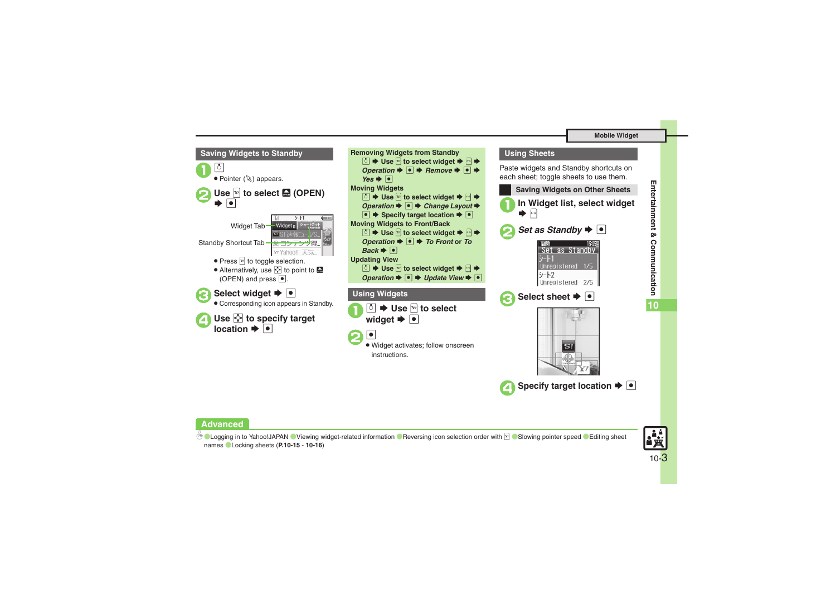#### **Mobile Widget**





### **Advanced**

**C[Logging in to Yahoo!JAPAN](#page-14-8)** Cliewing widget-related information C[Reversing icon selection order with](#page-14-10) **A CS**lowing pointer speed CEditing sheet [names](#page-14-12) ([Locking sheets](#page-15-0) (**[P.10-15](#page-14-8)** - **[10-16](#page-15-0)**)

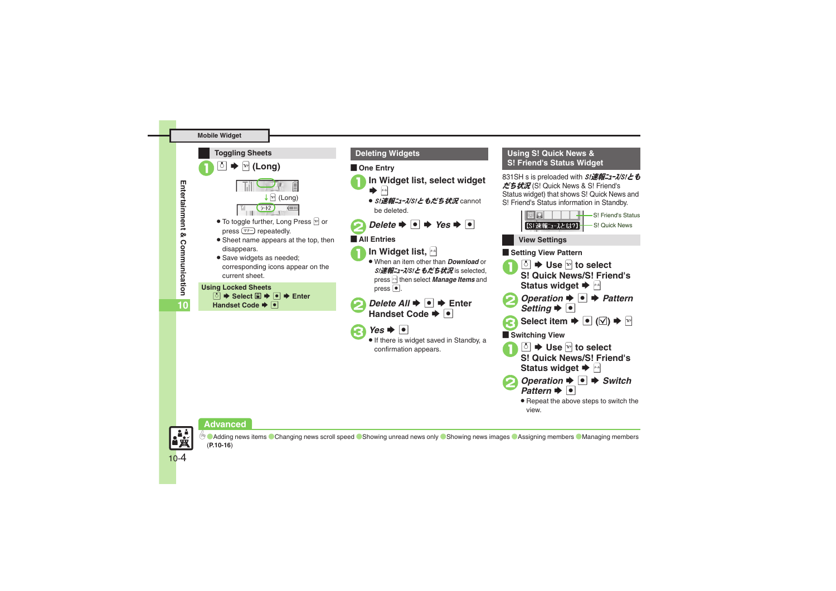### **Mobile Widget**



- press  $\boxed{\overline{<}+}$  repeatedly. • Sheet name appears at the top, then disappears.
- . Save widgets as needed; corresponding icons appear on the current sheet.

**Using Locked Sheets**

**<u>5</u>**  $\rightarrow$  Select **□**  $\rightarrow$  **□**  $\rightarrow$  Enter **Handset Code**  $\rightarrow \bullet$ 

# [ **One Entry**

- **In Widget list, select widget**  $\rightarrow$ 
	- *S!速報ニュース/S!ともだち状況* cannot be deleted.
- $Delete \rightarrow \bullet \rightarrow Yes \rightarrow \bullet$

# [ **All Entries**



**In Widget list,**  $|A|$  When an item other than *Download* or S!速報ニュース/S!ともだち状況 is selected, press  $\mathbb{B}$  then select *Manage Items* and press  $\bullet$ .

*Delete All*  $\rightarrow$  **■** Enter Handset Code  $\blacktriangleright$   $\lvert \bullet \rvert$ 



**•** If there is widget saved in Standby, a confirmation appears.

## **Deleting Widgets Using S! Quick News & S! Friend's Status Widget**

831SH s is preloaded with S/速報ニューズ/S/とも だち状況 (S! Quick News & S! Friend's Status widget) that shows S! Quick News and S! Friend's Status information in Standby.



# **Advanced**



<sup>6</sup>® ● [Adding news items](#page-15-1) ● [Changing news scroll speed](#page-15-2) ● [Showing unread news only](#page-15-3) ● [Showing news images](#page-15-4) ● [Assigning members](#page-15-5) ● [Managing members](#page-15-6) (**[P.10-16](#page-15-1)**)

**10**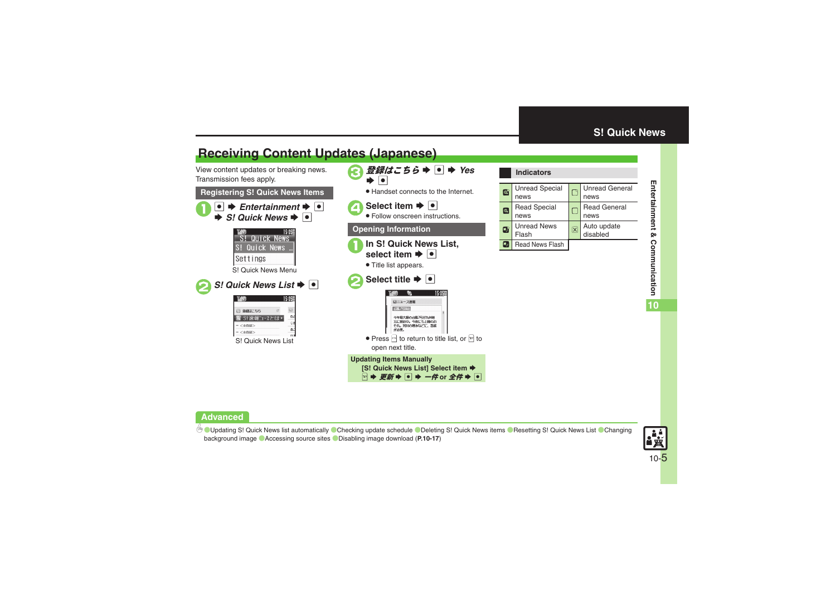# <span id="page-4-1"></span>**Receiving Content Updates (Japanese)**

View content updates or breaking news. Transmission fees apply.

### **Registering S! Quick News Items**





### <span id="page-4-0"></span>**Indicators**

| $\circ$ | <b>Unread Special</b><br>news |                         | <b>Unread General</b><br>news |
|---------|-------------------------------|-------------------------|-------------------------------|
| IQ.     | <b>Read Special</b><br>news   |                         | <b>Read General</b><br>news   |
| м       | <b>Unread News</b><br>Flash   | $\overline{\mathsf{x}}$ | Auto update<br>disabled       |
|         | Read News Flash               |                         |                               |

# **Advanced**

 $\overset{\mathbb{G}}{\triangle}$  Updating S! [Quick News list automatically](#page-16-0)  $\degree$ [Checking update schedule](#page-16-1)  $\degree$ Deleting S! [Quick News items](#page-16-2)  $\degree$ Resetting S! [Quick News List](#page-16-3)  $\degree$ Changing [background image](#page-16-4)  ([Accessing source sites](#page-16-5)  ([Disabling image download](#page-16-6) (**[P.10-17](#page-16-0)**)

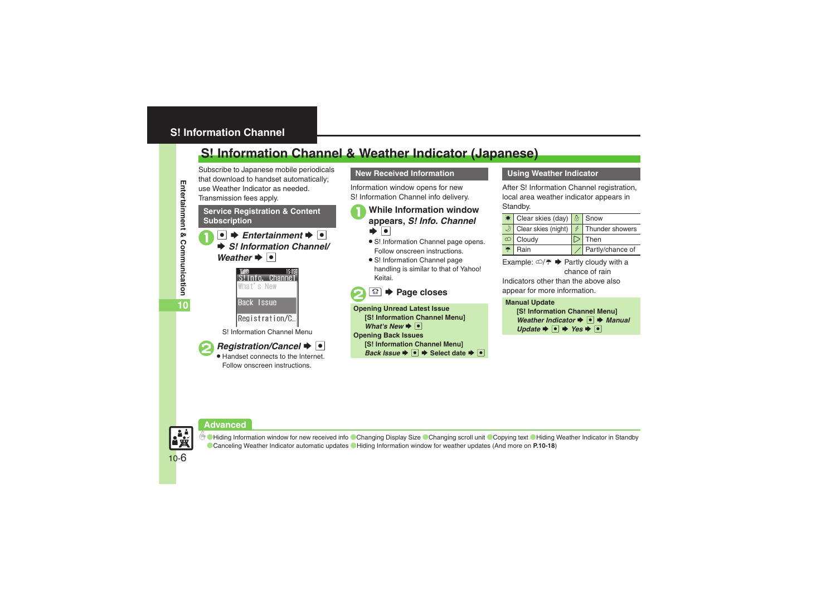# <span id="page-5-1"></span><span id="page-5-0"></span>**S! Information Channel & Weather Indicator (Japanese)**

Subscribe to Japanese mobile periodicals that download to handset automatically; use Weather Indicator as needed.Transmission fees apply.

### **Service Registration & Content Subscription**

 $\bullet$   $\bullet$  *Entertainment*  $\bullet$   $\bullet$  $\rightarrow$  **S!** *Information Channel*/ *Weather*  $\rightarrow$   $\bullet$ 



S! Information Channel Menu



*Registration/Cancel*  $\bullet$   $\bullet$ Handset connects to the Internet.

Follow onscreen instructions.

# **New Received Information**

Information window opens for new S! Information Channel info delivery.

# <sup>1</sup>**While Information window appears,** *S! Info. Channel*  $\bullet$   $\bullet$

- S! Information Channel page opens. Follow onscreen instructions.
- S! Information Channel page handling is similar to that of Yahoo! Keitai.
- <sup>**<sup>3</sup>**  $\rightarrow$  **Page closes**</sup>

**Opening Unread Latest Issue [S! Information Channel Menu]**  *What's New*  $\rightarrow$  <sup>o</sup> **Opening Back Issues [S! Information Channel Menu]**  *Back Issue*  $\rightarrow$  <sup>●</sup> → Select date  $\rightarrow$  ●

### **Using Weather Indicator**

After S! Information Channel registration. local area weather indicator appears in Standby.

| Clear skies (day)   8 Snow |                  |
|----------------------------|------------------|
| Clear skies (night)        | Thunder showers  |
| Cloudy                     | Then             |
| Rain                       | Partly/chance of |

Example:  $\bigcirc/\cong \bullet$  Partly cloudy with a chance of rain

Indicators other than the above also appear for more information.

### **Manual Update**

```
[S! Information Channel Menu] 
 Weather Indicator \rightarrow <sup>●</sup> Manual
Update \rightarrow \bullet \rightarrow Yes \rightarrow \bullet
```
# **Advanced**



**b** [Hiding Information window for new received info](#page-17-0) [Changing Display Size](#page-17-1) [Changing scroll unit](#page-17-2) [Copying text](#page-17-3) Chiding Weather Indicator in Standby ([Canceling Weather Indicator automatic updates](#page-17-5) ([Hiding Information window for weather updates](#page-17-6) (And more on **[P.10-18](#page-17-0)**)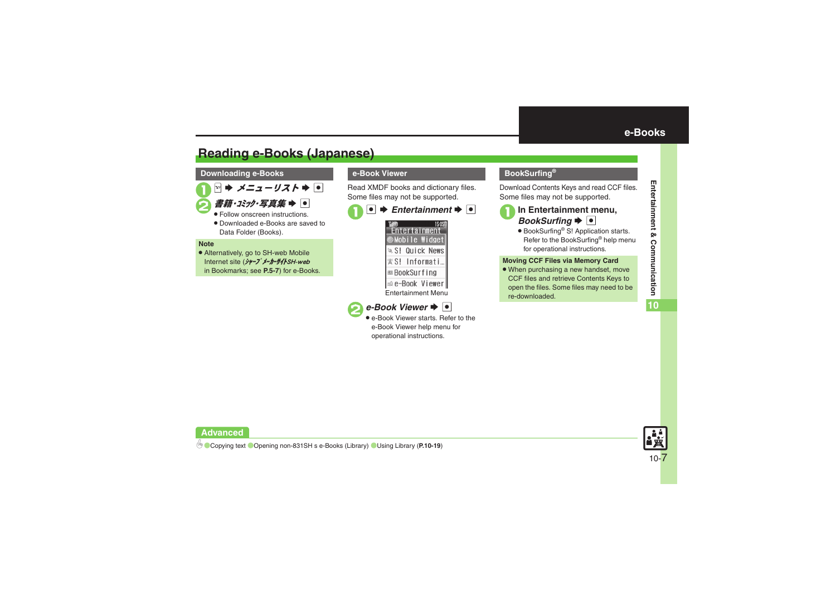# <span id="page-6-1"></span>**Reading e-Books (Japanese)**

### **Downloading e-Books**

1<sup>A</sup> <sup>S</sup> メニューリスト <sup>S</sup> %

# $\vec{a}$ *籍・コミック・写真集*  $\rightarrow$   $\sim$

- Follow onscreen instructions.
- . Downloaded e-Books are saved to Data Folder (Books).

#### **Note**

. Alternatively, go to SH-web Mobile Internet site (シャープメーカーサイトSH-web in Bookmarks; see **P.5-7**) for e-Books.

# **e-Book Viewer**

Read XMDF books and dictionary files. Some files may not be supported.

# $\bullet$   $\bullet$  *Entertainment*  $\bullet$   $\bullet$





 e-Book Viewer starts. Refer to the e-Book Viewer help menu for operational instructions.

# <span id="page-6-0"></span>**BookSurfing®**

Download Contents Keys and read CCF files. Some files may not be supported.



# **In Entertainment menu,**<br>*BookSurfing* → ●

● BookSurfing<sup>®</sup> S! Application starts. Refer to the BookSurfing® help menu for operational instructions.

### **Moving CCF Files via Memory Card**

• When purchasing a new handset, move CCF files and retrieve Contents Keys to open the files. Some files may need to be re-downloaded.



# **Advanced**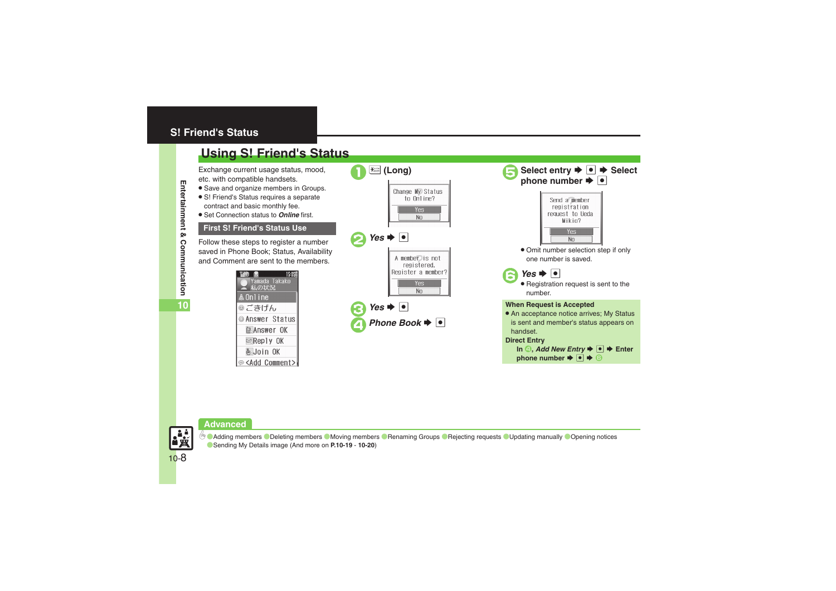# <span id="page-7-0"></span>**S! Friend's Status**

# <span id="page-7-1"></span>**Using S! Friend's Status**

Exchange current usage status, mood, etc. with compatible handsets.

- . Save and organize members in Groups.
- S! Friend's Status requires a separate contract and basic monthly fee.
- . Set Connection status to *Online* first.

# **First S! Friend's Status Use**

Follow these steps to register a number saved in Phone Book; Status, Availability and Comment are sent to the members.

| M6D<br><b>6</b><br>15:05国<br>Yamada Takako<br>私の状況 |
|----------------------------------------------------|
| ▲ On1 i ne                                         |
| ◎ごきげん                                              |
| <b>Answer Status</b>                               |
| <b>MANSWER</b> OK                                  |
| <b>E&amp;Reply OK</b>                              |
| હૈJoin OK                                          |
| <b>S</b> <add comment=""></add>                    |

|                                                      | <del>‱</del> (Long)                                  |
|------------------------------------------------------|------------------------------------------------------|
|                                                      | Change My Status<br>to Online?                       |
|                                                      | 'es<br>N <sub>O</sub>                                |
| $\vert$ Yes $\Rightarrow$ $\vert \bullet \vert$<br>2 |                                                      |
|                                                      | A member is not<br>registered.<br>Register a member? |
|                                                      | Yes<br>No                                            |
| $\bullet$ Yes $\bullet$ $\bullet$                    |                                                      |
|                                                      | Phone Book $\blacktriangleright$ $ \bullet $         |



# **Advanced**

0([Adding members](#page-18-3) ([Deleting members](#page-18-4) ([Moving members](#page-18-5) ([Renaming Groups](#page-18-6) ([Rejecting requests](#page-18-7) ([Updating manually](#page-19-0) ([Opening notices](#page-19-1)  ([Sending My Details image](#page-19-2) (And more on **[P.10-19](#page-18-3)** - **[10-20](#page-19-2)**)

**Entertainment & Communication** Communication C

Entertainment

⊗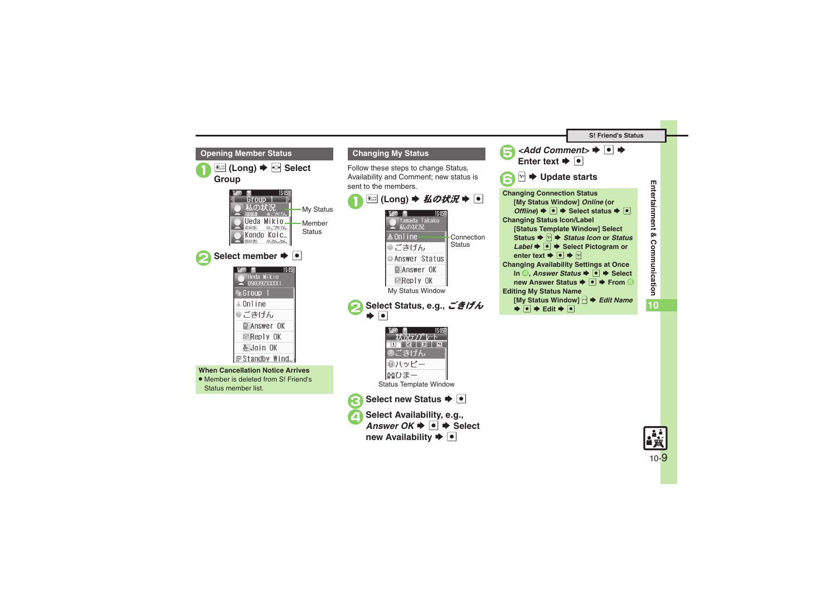<span id="page-8-0"></span>

Entertainment & Communication **Entertainment & Communication**

**10**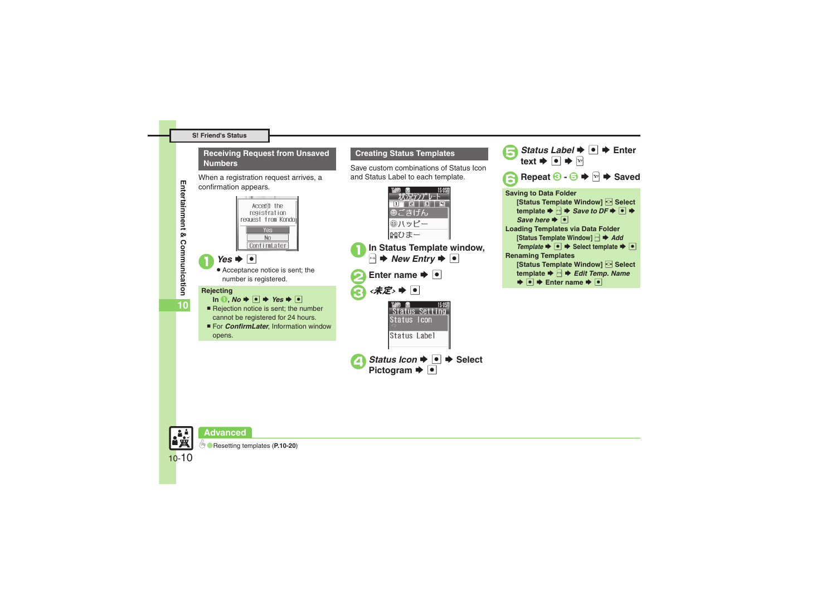#### **S! Friend's Status**

### **Receiving Request from Unsaved Numbers**

When a registration request arrives, a confirmation appears.



### **Creating Status Templates**

Save custom combinations of Status Icon and Status Label to each template.





**10**

10-10

**Advanced**

0([Resetting templates](#page-19-3) (**[P.10-20](#page-19-3)**)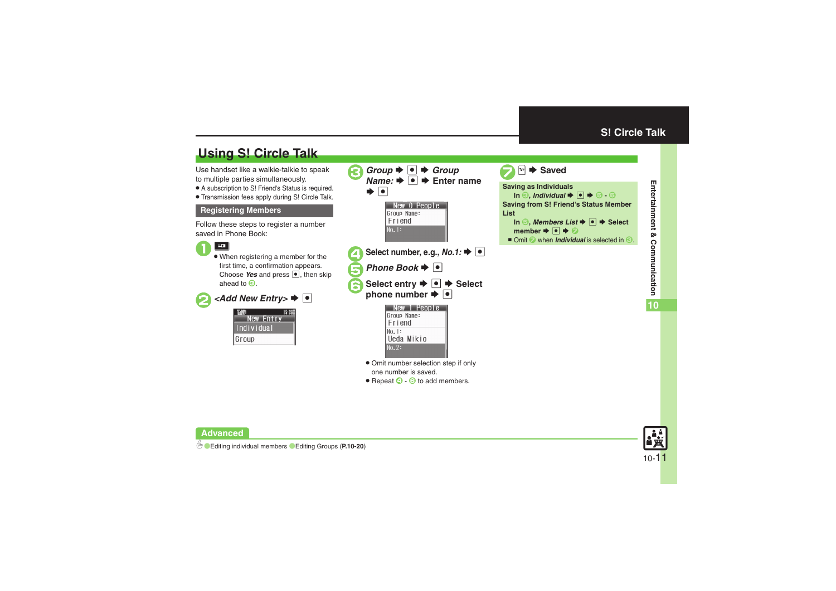# <span id="page-10-1"></span>**Using S! Circle Talk**

Use handset like a walkie-talkie to speak to multiple parties simultaneously.

- . A subscription to S! Friend's Status is required.
- . Transmission fees apply during S! Circle Talk.

### **Registering Members**

Follow these steps to register a number saved in Phone Book:



. When registering a member for the first time, a confirmation appears. Choose Yes and press  $\bullet$ , then skip ahead to  $\mathbf{\Theta}$ .

 $\blacktriangleright$   $\lceil \bullet \rceil$ 

|                 | 15:05 |
|-----------------|-------|
| New Entry       |       |
| I<br>Individual |       |
| Group           |       |

| Group $\blacktriangleright$ $\lnot$ $\blacktriangleright$ Group<br><i>Name:</i> $\rightarrow$ $\bullet$ $\rightarrow$ Enter name<br>$\blacktriangleright$ $\lvert \bullet \rvert$<br>New O People<br>Group Name:<br>Friend<br>No. 1: | Sav<br>Sav<br>List |
|--------------------------------------------------------------------------------------------------------------------------------------------------------------------------------------------------------------------------------------|--------------------|
| Select number, e.g., No.1: $\blacktriangleright \lceil \bullet \rceil$                                                                                                                                                               | π                  |
|                                                                                                                                                                                                                                      |                    |
| Phone Book $\blacktriangleright$ $ \bullet $                                                                                                                                                                                         |                    |
| Select entry $\blacktriangleright$ $\lbrack \bullet \rbrack \blacktriangleright$ Select<br>phone number $\blacktriangleright \lceil \bullet \rceil$                                                                                  |                    |
| ew 1 People<br>Group Name:<br>Friend<br>Nn. 1:<br>Ueda Mikio<br>No. 2:                                                                                                                                                               |                    |
| • Omit number selection step if only                                                                                                                                                                                                 |                    |
| one number is saved.                                                                                                                                                                                                                 |                    |
| • Repeat $\bigcirc$ - $\bigcirc$ to add members.                                                                                                                                                                                     |                    |

<span id="page-10-0"></span>**<del><b><del>M</del>**  $\blacktriangleright$  Saved</del> **Saving as Individuals**  $\blacksquare$  **Individual**  $\blacktriangleright$  $\blacksquare$  $\blacktriangleright$  $\oplus$  **-**  $\odot$ **Saving from S! Friend's Status Member ListIn** *S***,** *Members List* $\blacktriangleright$ *O* $\blacktriangleright$  **Select** member  $\blacktriangleright$  **O**  $\blacktriangleright$   $\odot$ ■ Omit ② when *Individual* is selected in <sup>●</sup>.



**Entertainment & Communication Entertainment & Communication**

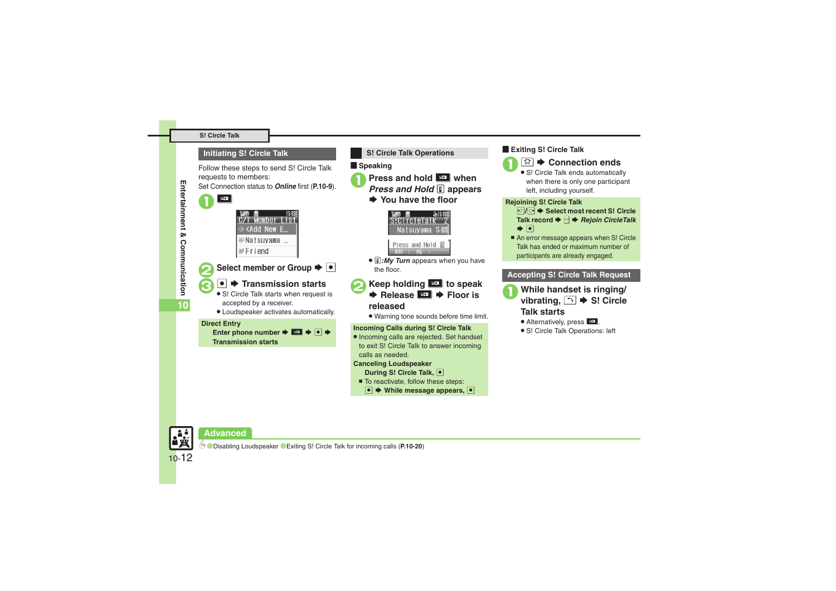### **Initiating S! Circle Talk**

Follow these steps to send S! Circle Talk requests to members:

Set Connection status to *Online* first (**[P.10-9](#page-8-0)**).



# **Select member or Group**  $\blacktriangleright$  $\lceil \bullet \rceil$

# $\bullet$  $\bullet$  **Transmission starts**

- S! Circle Talk starts when request is accepted by a receiver.
- . Loudspeaker activates automatically.

#### **Direct Entry**

Enter phone number  $\rightarrow$   $\blacksquare$   $\rightarrow$   $\lhd$   $\rightarrow$ **Transmission starts**



### **Example Speaking**



- **1** Press and hold **H** when *Press and Hold* **E** appears
	-
	- $\rightarrow$  **You have the floor**



**. ii**: My Turn appears when you have the floor.

# **Keep holding E to speak**<br> **E** Release **E P Floor is released**

. Warning tone sounds before time limit.

### **Incoming Calls during S! Circle Talk**

. Incoming calls are rejected. Set handset to exit S! Circle Talk to answer incoming calls as needed.

### **Canceling Loudspeaker**

- **During S! Circle Talk,** %
- To reactivate, follow these steps:
	- **<sup>●</sup>**  $\rightarrow$  **While message appears,**

### [ **Exiting S! Circle Talk**



• S! Circle Talk ends automatically

when there is only one participant left, including yourself.

### **Rejoining S! Circle Talk**

- c**/**d S **Select most recent S! Circle Talk record ♦ 2 A Rejoin CircleTalk**  $\bullet$   $\bullet$
- An error message appears when S! Circle Talk has ended or maximum number of participants are already engaged.

## **Accepting S! Circle Talk Request**

- **100 While handset is ringing/ vibrating,**  $\bigcap$  $\blacktriangleright$  **S! Circle Talk starts**
	- **.** Alternatively, press **HD**.
	- . S! Circle Talk Operations: left





10-12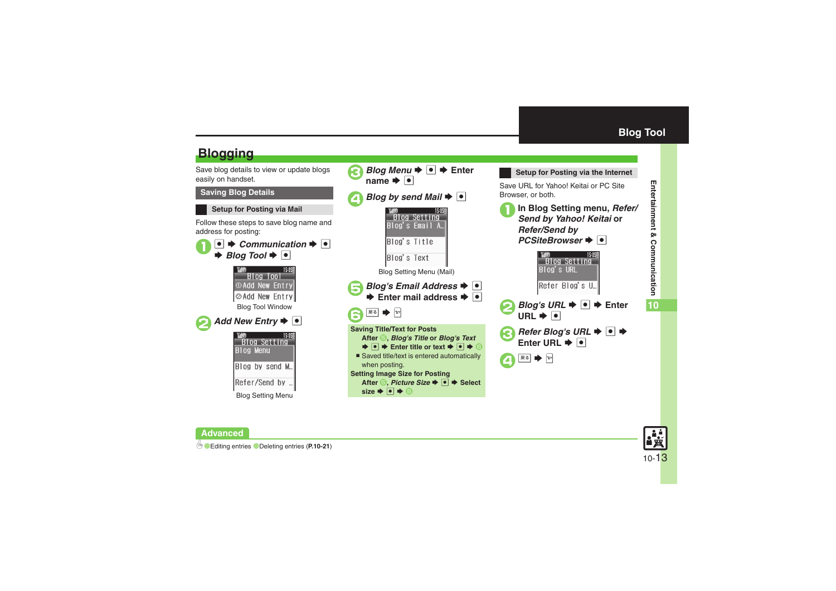<span id="page-12-1"></span>

Save blog details to view or update blogs easily on handset.

# **Saving Blog Details**

# **Setup for Posting via Mail**

Follow these steps to save blog name and address for posting:



<span id="page-12-0"></span>

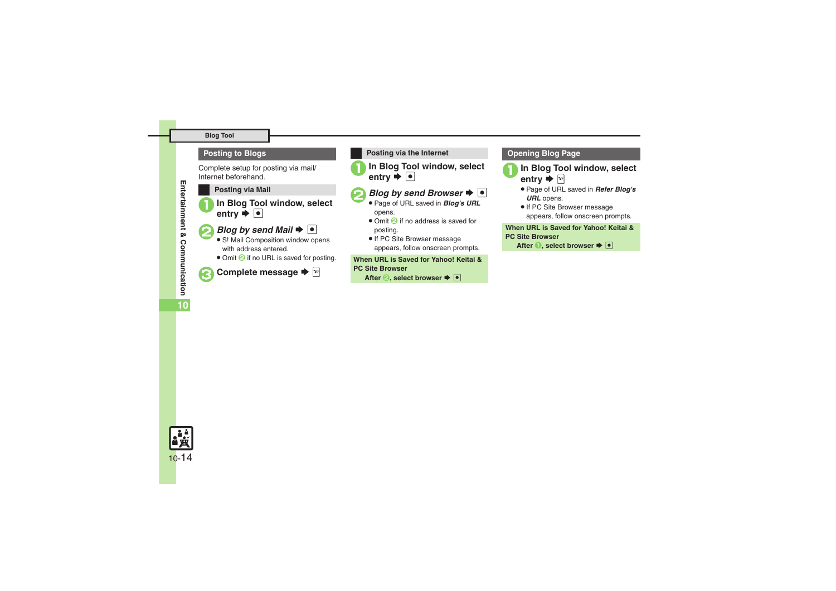### **Blog Tool**

### **Posting to Blogs**

Complete setup for posting via mail/ Internet beforehand.

# **Posting via Mail**

In Blog Tool window, select<br>entry  $\blacktriangleright$  **O** 

# *Blog by send Mail*  $\rightarrow$   $\boxed{\bullet}$

- S! Mail Composition window opens with address entered.
- . Omit **2** if no URL is saved for posting.

# **Complete message →**  $\boxed{^{\omega}}$

### **Posting via the Internet**

In Blog Tool window, select<br>entry  $\blacktriangleright$  **O** 

# *Blog by send Browser*  $\blacktriangleright \lceil \bullet \rceil$

- Page of URL saved in *Blog's URL* opens.
- Omit **2** if no address is saved for posting.
- If PC Site Browser message appears, follow onscreen prompts.

**When URL is Saved for Yahoo! Keitai & PC Site Browser**

**After** *Q***, select browser**  $\blacktriangleright$  $\lceil \bullet \rceil$ 

### **Opening Blog Page**

In Blog Tool window, select entry  $\blacktriangleright$   $\triangleright$ 

- . Page of URL saved in *Refer Blog's URL* opens.
- **.** If PC Site Browser message appears, follow onscreen prompts.

### **When URL is Saved for Yahoo! Keitai & PC Site Browser**

**After 1**, select browser  $\blacktriangleright$   $\blacksquare$ 

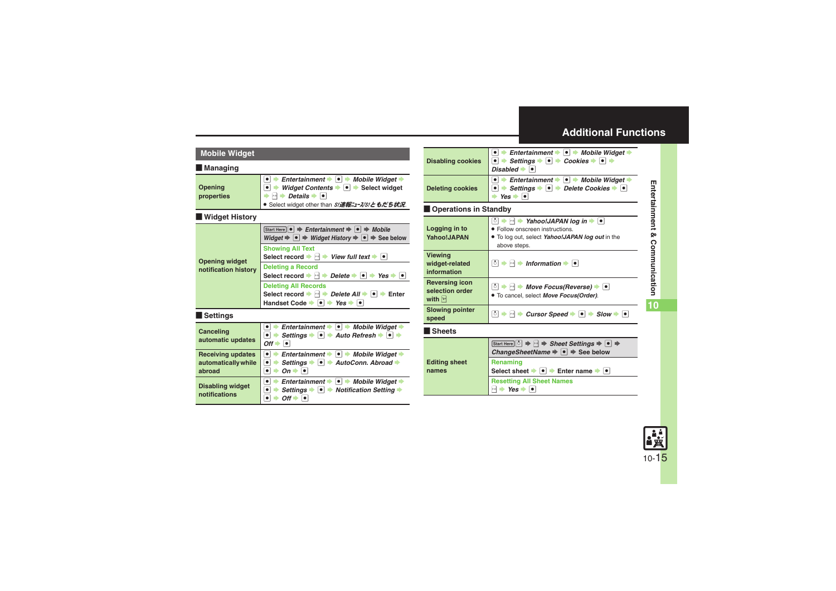<span id="page-14-5"></span><span id="page-14-4"></span><span id="page-14-3"></span><span id="page-14-2"></span><span id="page-14-1"></span>

| <b>Mobile Widget</b>                                      |                                                                                                                                                                                                                                                                                                                                 | <b>Disabling cookies</b>                                              |
|-----------------------------------------------------------|---------------------------------------------------------------------------------------------------------------------------------------------------------------------------------------------------------------------------------------------------------------------------------------------------------------------------------|-----------------------------------------------------------------------|
| <b>Managing</b>                                           |                                                                                                                                                                                                                                                                                                                                 |                                                                       |
| Opening<br>properties                                     | Entertainment $\bullet$ $\bullet$ $\bullet$<br>Mobile Widget →<br>$\bullet$<br>Widget Contents $\blacktriangleright$ $\blacktriangleright$ $\blacktriangleright$ Select widget<br>$\bullet$ $\bullet$<br>$\rightarrow$ $\rightarrow$ <i>Details</i> $\rightarrow$ $\rightarrow$<br>● Select widget other than S!速報ニュース/S!ともだち状況 | <b>Deleting cookies</b>                                               |
| <b>Widget History</b>                                     |                                                                                                                                                                                                                                                                                                                                 | <b>Operations in S</b>                                                |
|                                                           | $[Start Here] \bullet \Rightarrow Entertainment \Rightarrow \bullet \Rightarrow Mobile$<br>Widget $\Rightarrow \bullet \Rightarrow$ Widget History $\Rightarrow \bullet \Rightarrow$ See below                                                                                                                                  | Logging in to<br>Yahoo!JAPAN                                          |
| <b>Opening widget</b>                                     | <b>Showing All Text</b><br>Select record $\blacktriangleright$ $\bowtie$ $\blacktriangleright$<br>View full text $\bullet$ $\bullet$                                                                                                                                                                                            | <b>Viewing</b><br>widget-related                                      |
| notification history                                      | <b>Deleting a Record</b><br>Select record $\rightarrow$ $\rightarrow$ $\rightarrow$<br>Delete $\bullet \bullet \bullet$ Yes $\bullet \bullet$ $\bullet$                                                                                                                                                                         | information                                                           |
|                                                           | <b>Deleting All Records</b><br>Select record $\Rightarrow$ $\Box$ <i>Delete All</i> $\Rightarrow$ $\Box$ Enter<br>Handset Code $\rightarrow \Box$ Yes $\rightarrow \Box$                                                                                                                                                        | <b>Reversing icon</b><br>selection order<br>with $\boxed{\mathbf{x}}$ |
| Settings                                                  |                                                                                                                                                                                                                                                                                                                                 | <b>Slowing pointer</b><br>speed                                       |
| Canceling<br>automatic updates                            | Entertainment $\bullet$ $\bullet$ $\bullet$ Mobile Widget $\bullet$<br>$\bullet$<br>Settings $\bullet \; \bullet \; \bullet$ Auto Refresh $\bullet \; \bullet \; \bullet$<br>∙⊧                                                                                                                                                 | <b>Sheets</b>                                                         |
|                                                           | $Off \rightarrow$<br>$\bullet$                                                                                                                                                                                                                                                                                                  |                                                                       |
| <b>Receiving updates</b><br>automatically while<br>abroad | $\overline{\bullet}$<br>Entertainment $\bullet$ $\bullet$ $\bullet$ Mobile Widget $\bullet$<br>Settings $\rightarrow \blacksquare$ AutoConn. Abroad →<br>$\bullet$<br>$On \rightarrow \Box$<br>$\bullet$                                                                                                                        | <b>Editing sheet</b><br>names                                         |
| <b>Disabling widget</b><br>notifications                  | $\bullet$<br>Entertainment $\bullet$ $\bullet$ $\bullet$ Mobile Widget $\bullet$<br>Settings $\bullet$ $\bullet$ Notification Setting $\bullet$<br>$\bullet$<br>$\bullet$<br>$Off \rightarrow \Box$                                                                                                                             |                                                                       |

# <span id="page-14-12"></span><span id="page-14-11"></span><span id="page-14-10"></span><span id="page-14-9"></span><span id="page-14-8"></span><span id="page-14-7"></span><span id="page-14-6"></span><span id="page-14-0"></span>**Standby**  $\overline{\bullet}$ Entertainment  $\blacktriangleright$  **O**  $\blacktriangleright$  *Mobile Widget*  $\blacktriangleright$  $\bullet \Rightarrow$  Settings  $\Rightarrow$   $\bullet \Rightarrow$  Cookies  $\Rightarrow$   $\bullet \Rightarrow$ *Disabled*  $\bullet$   $\bullet$ **■**  $\rightarrow$  **Entertainment**  $\rightarrow$  **■** *Mobile Widget*  $\rightarrow$ **■**  $\rightarrow$  **Settings**  $\rightarrow$  **■**  $\rightarrow$  *Delete Cookies*  $\rightarrow$  ■ S $Yes \rightarrow \Box$ **b**  $\rightarrow$  B  $\rightarrow$  Yahoo!JAPAN log in  $\rightarrow$  ■ . Follow onscreen instructions. . To log out, select *Yahoo!JAPAN log out* in the above steps.  $\circ$   $\rightarrow$   $\circ$  **b** Information  $\rightarrow$   $\circ$ **b**  $\rightarrow$  **B**  $\rightarrow$  *Move Focus(Reverse)*  $\rightarrow$  **●** . To cancel, select *Move Focus(Order)*.  $\boxed{5}$   $\rightarrow$   $\boxed{9}$   $\rightarrow$  *Cursor Speed*  $\rightarrow$   $\boxed{9}$   $\rightarrow$  *Slow*  $\rightarrow$   $\boxed{9}$  $\boxed{\text{Start Here}}$   $\boxed{\circ}$   $\Rightarrow$   $\boxed{\circ}$   $\Rightarrow$  **Sheet Settings**  $\Rightarrow$   $\boxed{\bullet}$   $\Rightarrow$ *ChangeSheetName*  $\rightarrow$  <sup>●</sup>  $\rightarrow$  See below **Renaming Select sheet**  $\rightarrow$  **<sup>o</sup>**  $\rightarrow$  Enter name  $\rightarrow$  **o Resetting All Sheet Names**  $P \rightarrow Yes \rightarrow \bullet$

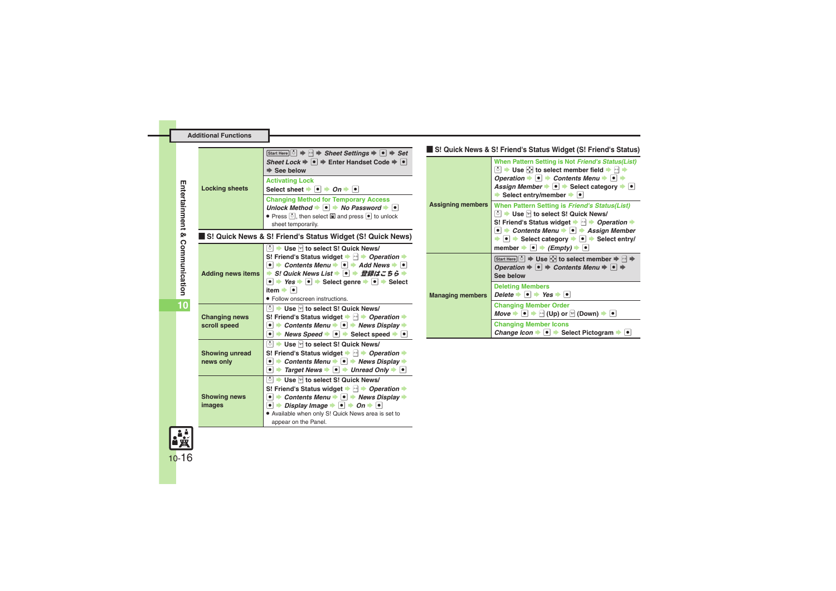<span id="page-15-5"></span>

|                                    | Start Here $\lceil \cdot \rceil \Rightarrow \lceil \cdot \rceil$ $\Rightarrow$ Sheet Settings $\Rightarrow \lceil \cdot \rceil \Rightarrow$ Set<br>Sheet Lock $\Rightarrow \bullet$ $\Rightarrow$ Enter Handset Code $\Rightarrow \bullet$<br>$\Rightarrow$ See below                                                                                                                                                                                                         |                          | S! Quick News & S! Friend's Status Widget (S! Friend's Status)<br>When Pattern Setting is Not Friend's Status(List)<br>ै। $\rightarrow$ Use $\odot$ to select member field $\rightarrow$ नि $\rightarrow$                                                                                                 |
|------------------------------------|-------------------------------------------------------------------------------------------------------------------------------------------------------------------------------------------------------------------------------------------------------------------------------------------------------------------------------------------------------------------------------------------------------------------------------------------------------------------------------|--------------------------|-----------------------------------------------------------------------------------------------------------------------------------------------------------------------------------------------------------------------------------------------------------------------------------------------------------|
| <b>Locking sheets</b>              | <b>Activating Lock</b><br>Select sheet $\bullet$ $\bullet$ $\bullet$ $\bullet$ $\bullet$ $\bullet$                                                                                                                                                                                                                                                                                                                                                                            |                          | Operation $\rightarrow \bullet$ $\rightarrow$ Contents Menu $\rightarrow \bullet$ $\rightarrow$<br>Assign Member $\bullet$ $\bullet$ Select category $\bullet$ $\bullet$<br>Select entry/member $\rightarrow \bullet$                                                                                     |
|                                    | <b>Changing Method for Temporary Access</b><br>Unlock Method $\bullet \bullet \bullet \bullet$ No Password $\bullet \bullet$<br>• Press [5], then select and press • to unlock<br>sheet temporarily.                                                                                                                                                                                                                                                                          | <b>Assigning members</b> | When Pattern Setting is Friend's Status(List)<br>◯ → Use <sup>[2]</sup> to select S! Quick News/<br>S! Friend's Status widget $\Rightarrow$ $\Box$ <i>Operation</i> $\Rightarrow$                                                                                                                         |
|                                    | S! Quick News & S! Friend's Status Widget (S! Quick News)                                                                                                                                                                                                                                                                                                                                                                                                                     |                          | $\bullet$ $\rightarrow$ Contents Menu $\rightarrow$ $\bullet$ $\rightarrow$ Assign Member<br>$\bullet$ $\bullet$ Select category $\bullet$ $\bullet$ Select entry/                                                                                                                                        |
| <b>Adding news items</b>           | ◯ $\blacktriangleright$ Use $\triangleright$ to select S! Quick News/<br>S! Friend's Status widget $\Rightarrow$ $\Box \Rightarrow$ Operation $\Rightarrow$<br>$\bullet$ $\rightarrow$ Contents Menu $\rightarrow$ $\circ$ $\rightarrow$ Add News $\rightarrow$ $\circ$<br>→ S! Quick News List → ● → 登録はこちら →<br>$\bullet$ $\Rightarrow$ Yes $\Rightarrow$ $\circ$ $\Rightarrow$ Select genre $\Rightarrow$ $\circ$ $\Rightarrow$ Select                                     |                          | member $\Rightarrow$ $\bullet$ $\Rightarrow$ $\land$ $\land$ $\Rightarrow$ $\land$ $\bullet$<br>Start Here   ି   $\Rightarrow$ Use $\Diamond$ to select member $\Rightarrow \Box \Rightarrow$<br>Operation $\Rightarrow \bullet \Rightarrow$ Contents Menu $\Rightarrow \bullet \Rightarrow$<br>See below |
|                                    | item $\bullet$ $\bullet$<br>· Follow onscreen instructions.                                                                                                                                                                                                                                                                                                                                                                                                                   | <b>Managing members</b>  | <b>Deleting Members</b><br>Delete $\rightarrow \bullet$ $\rightarrow$ Yes $\rightarrow \bullet$                                                                                                                                                                                                           |
| <b>Changing news</b>               | $\lceil \delta \rceil$ $\blacktriangleright$ Use $\lceil \sigma \rceil$ to select S! Quick News/<br>S! Friend's Status widget $\Rightarrow$ $\Box \Rightarrow$ Operation $\Rightarrow$                                                                                                                                                                                                                                                                                        |                          | <b>Changing Member Order</b><br><i>Move</i> $\rightarrow$ $\bullet$ $\rightarrow$ $\leftarrow$ (Up) or $\boxed{\circ}$ (Down) $\rightarrow$ $\bullet$                                                                                                                                                     |
| scroll speed                       | $\bullet$ $\rightarrow$ Contents Menu $\rightarrow$ $\circ$ $\rightarrow$ News Display $\rightarrow$<br>$\bullet$ $\rightarrow$ News Speed $\rightarrow$ $\bullet$ $\rightarrow$ Select speed $\rightarrow$ $\bullet$                                                                                                                                                                                                                                                         |                          | <b>Changing Member Icons</b><br>Change Icon $\rightarrow \bullet$ Select Pictogram $\rightarrow \bullet$                                                                                                                                                                                                  |
| <b>Showing unread</b><br>news only | ै। $\blacktriangleright$ Use ⊠ to select S! Quick News/<br>S! Friend's Status widget $\Rightarrow$ $\Box \Rightarrow$ Operation $\Rightarrow$<br>$\bullet$ $\rightarrow$ Contents Menu $\rightarrow$ $\circ$ $\rightarrow$ News Display $\rightarrow$<br>$\bullet$ $\Rightarrow$ Target News $\Rightarrow$ $\bullet$ $\Rightarrow$ Unread Only $\Rightarrow$ $\bullet$                                                                                                        |                          |                                                                                                                                                                                                                                                                                                           |
| <b>Showing news</b><br>images      | $\boxed{\circ}$ $\blacktriangleright$ Use $\boxed{\triangleright}$ to select S! Quick News/<br>S! Friend's Status widget $\Rightarrow$ $\Box \Rightarrow$ Operation $\Rightarrow$<br>$\bullet$ $\rightarrow$ Contents Menu $\rightarrow$ $\circ$ $\rightarrow$ News Display $\rightarrow$<br>$\bullet$ $\Rightarrow$ Display Image $\Rightarrow$ $\circ$ $\Rightarrow$ On $\Rightarrow$ $\circ$<br>. Available when only S! Quick News area is set to<br>appear on the Panel. |                          |                                                                                                                                                                                                                                                                                                           |

<span id="page-15-0"></span>**Entertainment & Communication**

<span id="page-15-6"></span><span id="page-15-4"></span><span id="page-15-3"></span><span id="page-15-2"></span><span id="page-15-1"></span>**10**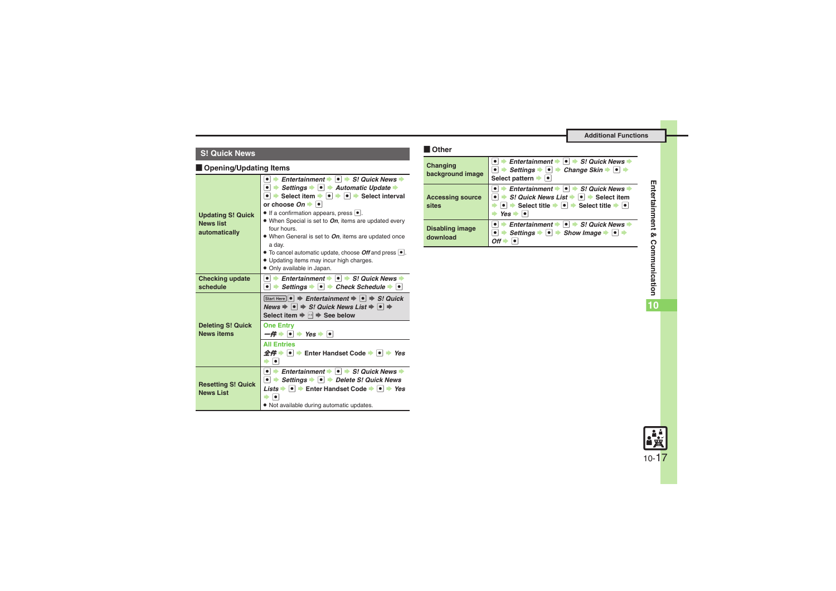# **Other S! Quick News**

### **E** Opening/Updating Items

<span id="page-16-3"></span><span id="page-16-2"></span><span id="page-16-1"></span><span id="page-16-0"></span>

| <b>Updating S! Quick</b><br><b>News list</b><br>automatically | Entertainment $\rightarrow \bullet \Rightarrow S$ ! Quick News $\rightarrow$<br>$\bullet$ $\Rightarrow$ Settings $\bullet$ $\bullet$ $\Rightarrow$ Automatic Update $\bullet$<br>• Select item • • • • Select interval<br>or choose $On \rightarrow \bullet$<br>$\bullet$ If a confirmation appears, press $\bullet$ .<br>• When Special is set to On, items are updated every<br>four hours.<br>• When General is set to On, items are updated once<br>a day.<br>• To cancel automatic update, choose Off and press $ \bullet $ .<br>. Updating items may incur high charges.<br>• Only available in Japan. |
|---------------------------------------------------------------|--------------------------------------------------------------------------------------------------------------------------------------------------------------------------------------------------------------------------------------------------------------------------------------------------------------------------------------------------------------------------------------------------------------------------------------------------------------------------------------------------------------------------------------------------------------------------------------------------------------|
| <b>Checking update</b><br>schedule                            | $\bullet$ $\bullet$ Entertainment $\bullet$ $\bullet$ $\bullet$ S! Quick News $\bullet$<br>$\bullet$ $\bullet$ Settings $\bullet$ $\bullet$ $\bullet$ Check Schedule $\bullet$ $\bullet$                                                                                                                                                                                                                                                                                                                                                                                                                     |
|                                                               | Start Here $\ \bullet\ $ $\Rightarrow$ Entertainment $\Rightarrow$ $\ \bullet\ $ $\Rightarrow$ S! Quick                                                                                                                                                                                                                                                                                                                                                                                                                                                                                                      |
|                                                               | News $\Rightarrow$ $\bullet$ $\Rightarrow$ S! Quick News List $\Rightarrow$ $\bullet$ $\Rightarrow$<br>Select item $\Rightarrow$ $\rightarrow$ See below                                                                                                                                                                                                                                                                                                                                                                                                                                                     |
| <b>Deleting S! Quick</b><br><b>News items</b>                 | <b>One Entry</b><br>$-\#$ $\rightarrow$ $\parallel \bullet \parallel$ Yes $\rightarrow$ $\parallel \bullet \parallel$                                                                                                                                                                                                                                                                                                                                                                                                                                                                                        |
|                                                               | <b>All Entries</b><br>$\hat{\mathcal{L}} \hat{\mathcal{H}}$ $\Rightarrow$ $\hat{\mathcal{L}}$ Enter Handset Code $\Rightarrow$ $\hat{\mathcal{L}}$ $\Rightarrow$ Yes<br>$\bullet$                                                                                                                                                                                                                                                                                                                                                                                                                            |

# Other

<span id="page-16-6"></span><span id="page-16-5"></span><span id="page-16-4"></span>

| Changing<br>background image       | Entertainment $\bullet$ $\bullet$ $\bullet$ S! Quick News<br>$\rightarrow$ Settings $\rightarrow$ $\rightarrow$ Change Skin $\rightarrow$ $\rightarrow$ $\rightarrow$<br>Select pattern $\blacktriangleright$                                                                                                     |
|------------------------------------|-------------------------------------------------------------------------------------------------------------------------------------------------------------------------------------------------------------------------------------------------------------------------------------------------------------------|
| <b>Accessing source</b><br>sites   | Entertainment $\bullet$ $\bullet$ $\bullet$ S! Quick News<br>S! Quick News List $\blacktriangleright$ $\blacktriangleright$ $\blacktriangleright$ Select item<br>Select title $\blacktriangleright \lceil \bullet \rceil$ $\blacktriangleright$ Select title $\blacktriangleright \lceil \bullet \rceil$<br>Yes I |
| <b>Disabling image</b><br>download | Entertainment $\Rightarrow$<br>$\left  \bullet \right $ S! Quick News<br>Settings $\rightarrow \bullet$ $\rightarrow$ Show Image $\rightarrow \bullet$<br>Ωff                                                                                                                                                     |

**10**

10-17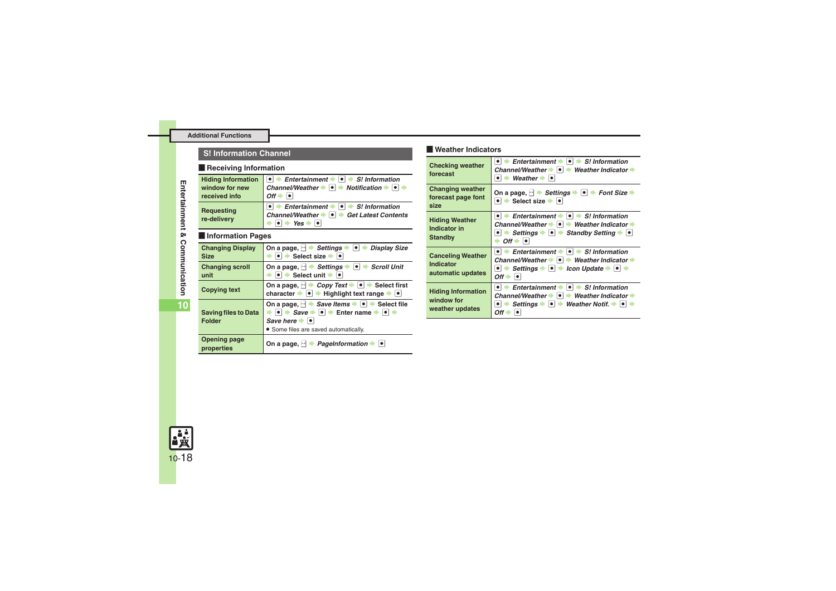# **Weather Indicators S! Information Channel**

### **Receiving Information**

<span id="page-17-0"></span>

| <b>Hiding Information</b>        | $\bullet$ $\Rightarrow$ Entertainment $\Rightarrow$ $\bullet$ $\Rightarrow$ S! Information                                                                          |
|----------------------------------|---------------------------------------------------------------------------------------------------------------------------------------------------------------------|
| window for new                   | Channel/Weather $\bullet \bullet \bullet \bullet$ Notification $\bullet \bullet \bullet$                                                                            |
| received info                    | $Off \rightarrow$                                                                                                                                                   |
| <b>Requesting</b><br>re-delivery | $\bullet$ $\bullet$ Entertainment $\bullet$ $\bullet$ $\bullet$ S! Information<br>Channel/Weather $\bullet$ $\bullet$ $\bullet$ Get Latest Contents<br>$Yes + \Box$ |

### [ **Information Pages**

<span id="page-17-3"></span><span id="page-17-2"></span><span id="page-17-1"></span>

| <b>Changing Display</b><br><b>Size</b>       | On a page, $\rightarrow$ Settings $\rightarrow$ $\rightarrow$<br><b>Display Size</b><br>Select size $\blacktriangleright$ $\lvert \bullet \rvert$                                                                                                                                      |
|----------------------------------------------|----------------------------------------------------------------------------------------------------------------------------------------------------------------------------------------------------------------------------------------------------------------------------------------|
| <b>Changing scroll</b><br>unit               | On a page, $ \cdot $ $\rightarrow$ Settings $\rightarrow$ $\bullet$ $\rightarrow$ Scroll Unit<br>$\rightarrow$ Select unit $\rightarrow$ $\rightarrow$                                                                                                                                 |
| <b>Copying text</b>                          | On a page, $\ \cdot\ $ $\triangleright$ <i>Copy Text</i> $\ \cdot\ $ $\Rightarrow$ Select first<br>character $\rightarrow \bullet$ Highlight text range $\rightarrow \bullet$                                                                                                          |
| <b>Saving files to Data</b><br><b>Folder</b> | On a page, $\ket{\cdot}$ $\Rightarrow$ Save Items $\Rightarrow$ $\ket{\bullet}$ Select file<br>$\bullet \Rightarrow$ Save $\Rightarrow \bullet \Rightarrow$ Enter name $\Rightarrow \bullet \Rightarrow$<br>Save here $\rightarrow$ $\bullet$<br>• Some files are saved automatically. |
| <b>Opening page</b><br>properties            | On a page, $ \cdot $ > <i>PageInformation</i> > $\bullet$                                                                                                                                                                                                                              |

# Weather Indicators

<span id="page-17-6"></span><span id="page-17-5"></span><span id="page-17-4"></span>

| <b>Checking weather</b><br>forecast                        | $\bullet$ $\bullet$ Entertainment $\bullet$ $\bullet$ $\bullet$ S! Information<br>Channel/Weather $\rightarrow \rightarrow$ Weather Indicator $\rightarrow$<br>$\bullet$ $\bullet$ Weather $\bullet$ $\bullet$                                                                                                   |
|------------------------------------------------------------|------------------------------------------------------------------------------------------------------------------------------------------------------------------------------------------------------------------------------------------------------------------------------------------------------------------|
| <b>Changing weather</b><br>forecast page font<br>size      | On a page, $\rightarrow$ Settings $\rightarrow$ $\rightarrow$ Font Size $\rightarrow$<br>$\bullet$ $\bullet$ Select size $\bullet$ $\bullet$                                                                                                                                                                     |
| <b>Hiding Weather</b><br>Indicator in<br><b>Standby</b>    | $\bullet$ $\bullet$ Entertainment $\bullet$ $\bullet$ $\bullet$ S! Information<br>Channel/Weather $\rightarrow \rightarrow$ Weather Indicator $\rightarrow$<br>• $\rightarrow$ Settings $\rightarrow$ • $\rightarrow$ Standby Setting $\rightarrow$ •<br>$Off \rightarrow \bullet$                               |
| <b>Canceling Weather</b><br>Indicator<br>automatic updates | $\bullet$ $\bullet$ Entertainment $\bullet$ $\bullet$ $\bullet$ S! Information<br>Channel/Weather $\rightarrow \rightarrow$ Weather Indicator $\rightarrow$<br>$\bullet$ $\bullet$ Settings $\bullet$ $\bullet$ $\bullet$ Icon Update $\bullet$ $\bullet$ $\bullet$<br>$Off \rightarrow \bullet$                 |
| <b>Hiding Information</b><br>window for<br>weather updates | $\bullet$ $\bullet$ Entertainment $\bullet$ $\bullet$ $\bullet$ S! Information<br>Channel/Weather $\rightarrow \rightarrow$ Weather Indicator $\rightarrow$<br>Settings $\rightarrow$ $\mid \bullet \mid \rightarrow$ Weather Notif. $\rightarrow$ $\mid \bullet \mid \rightarrow$<br>$\bullet$ $\vdash$<br>Off∣ |

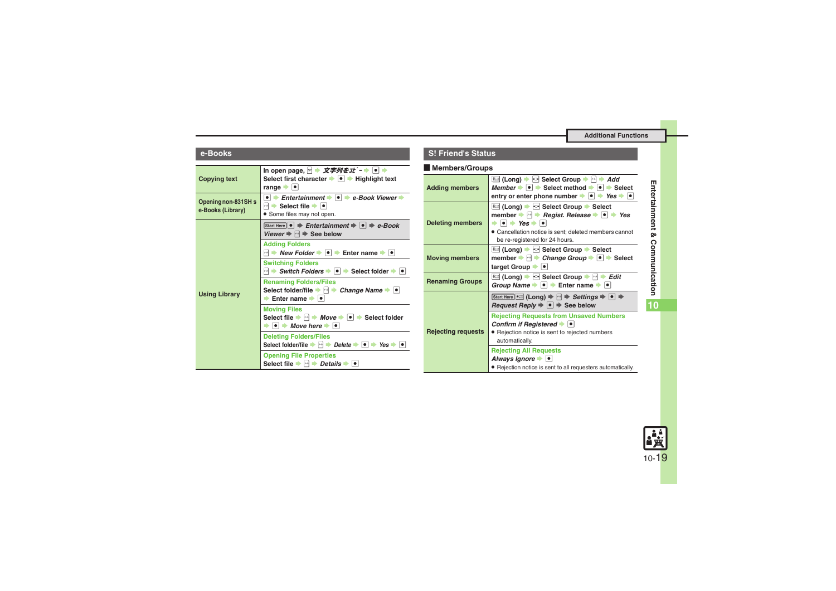<span id="page-18-2"></span><span id="page-18-1"></span><span id="page-18-0"></span>

| e-Books                                  |                                                                                                                                                                                                                        | S  |
|------------------------------------------|------------------------------------------------------------------------------------------------------------------------------------------------------------------------------------------------------------------------|----|
| <b>Copying text</b>                      | In open page, 2 → 文字列を $1t^*$ - → $\bullet$ +<br>Select first character $\rightarrow \rightarrow \rightarrow$ Highlight text<br>range $\rightarrow$ $\bullet$                                                          | Ac |
| Opening non-831SH s<br>e-Books (Library) | • $\rightarrow$ Entertainment $\rightarrow$ • $\rightarrow$ e-Book Viewer $\rightarrow$<br>$\mathbb{R}$ $\blacktriangleright$ Select file $\blacktriangleright$ $\lvert \bullet \rvert$<br>• Some files may not open.  |    |
| <b>Using Library</b>                     | Start Here $\bullet \Rightarrow$ Entertainment $\bullet \bullet \Rightarrow$ e-Book<br>Viewer $\Rightarrow$ $\rightarrow$ See below                                                                                    | De |
|                                          | <b>Adding Folders</b><br>$\blacksquare$ $\blacktriangleright$ New Folder $\blacktriangleright$ $\blacksquare$ $\blacktriangleright$ Enter name $\blacktriangleright$ $\blacksquare$                                    | Mo |
|                                          | <b>Switching Folders</b><br>$\blacktriangleright$ Switch Folders $\blacktriangleright$ $\blacktriangleright$ Select folder $\blacktriangleright$ $\blacktriangleright$                                                 |    |
|                                          | <b>Renaming Folders/Files</b><br>Select folder/file $\blacktriangleright$ $\bowtie$ $\blacktriangleright$ Change Name $\blacktriangleright$ $\blacktriangleright$<br>Enter name $\rightarrow$ $\left  \bullet \right $ | Re |
|                                          | <b>Moving Files</b><br>Select file $\Rightarrow$ $\Box \Rightarrow$ Move $\Rightarrow$ $\Box \Rightarrow$ Select folder<br>$\bullet \bullet \bullet$ Move here $\bullet \bullet$                                       | Re |
|                                          | <b>Deleting Folders/Files</b><br>Select folder/file $\rightarrow \rightarrow$ Delete $\rightarrow \rightarrow$ $\rightarrow$ Yes $\rightarrow \rightarrow$                                                             |    |
|                                          | <b>Opening File Properties</b><br>Select file $\blacktriangleright$ $\bowtie$ $\blacktriangleright$ Details $\blacktriangleright$ $\blacktriangleright$                                                                |    |

### **S! Friend's Status**

# **Members/Groups**

<span id="page-18-7"></span><span id="page-18-6"></span><span id="page-18-5"></span><span id="page-18-4"></span><span id="page-18-3"></span>

| <b>Adding members</b>     | <sup>*</sup> (Long) → ⊙ Select Group → नि → Add<br>Member $\rightarrow \bullet$ $\rightarrow$ Select method $\rightarrow \bullet$ $\rightarrow$ Select<br>entry or enter phone number $\rightarrow$ $\rightarrow$ Yes $\rightarrow$ $\rightarrow$                                                                                                  |
|---------------------------|----------------------------------------------------------------------------------------------------------------------------------------------------------------------------------------------------------------------------------------------------------------------------------------------------------------------------------------------------|
| <b>Deleting members</b>   | <del>K</del> al (Long) → ⊙ Select Group → Select<br>member $\rightarrow \rightarrow$ Regist. Release $\rightarrow \rightarrow$ Yes<br>$\bullet \bullet \bullet$ Yes $\bullet \bullet$<br>• Cancellation notice is sent; deleted members cannot<br>be re-registered for 24 hours.                                                                   |
| <b>Moving members</b>     | <del>K</del> al (Long) → ⊙ Select Group → Select<br>member $\Rightarrow \Box \Rightarrow$ Change Group $\Rightarrow \Box \Rightarrow$ Select<br>target Group                                                                                                                                                                                       |
| <b>Renaming Groups</b>    | <del>*</del> (Long) → া Select Group → া → <i>Edit</i><br>Group Name $\rightarrow \bullet$ $\rightarrow$ Enter name $\rightarrow \bullet$                                                                                                                                                                                                          |
|                           | Start Here $\left \frac{1}{1+\epsilon\epsilon\epsilon\epsilon\epsilon}\right $ (Long) $\Rightarrow$ $\left \frac{1}{1+\epsilon\epsilon\epsilon\epsilon\epsilon\epsilon}$ Settings $\Rightarrow$ $\left \frac{1}{1+\epsilon\epsilon\epsilon\epsilon\epsilon\epsilon\epsilon}$<br><i>Request Reply</i> $\rightarrow \bullet$ $\rightarrow$ See below |
| <b>Rejecting requests</b> | <b>Rejecting Requests from Unsaved Numbers</b><br>Confirm if Registered $\blacktriangleright$ $\blacktriangleright$<br>· Rejection notice is sent to rejected numbers<br>automatically.                                                                                                                                                            |
|                           | <b>Rejecting All Requests</b><br>Always Ignore • •<br>· Rejection notice is sent to all requesters automatically.                                                                                                                                                                                                                                  |

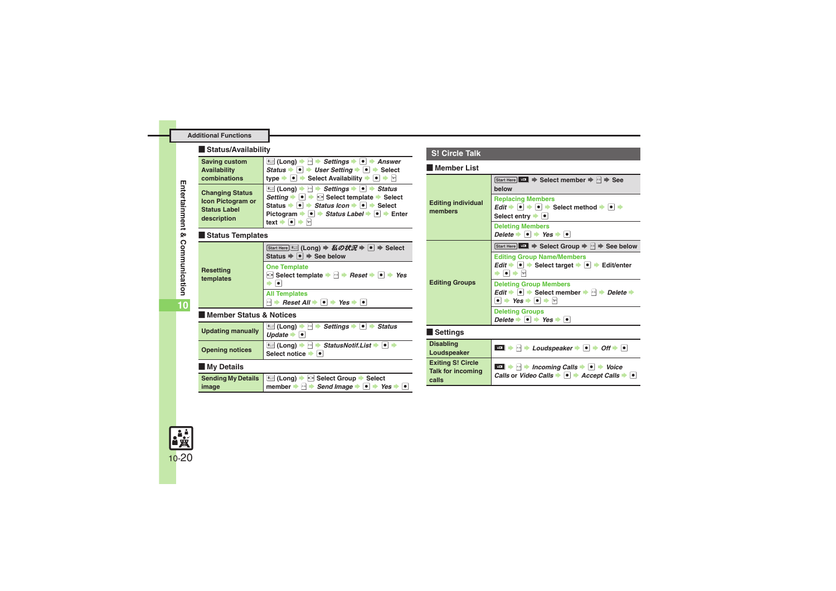### [ **Status/Availability**

| <b>Saving custom</b>                                                                     | <del>¥</del> (Long) !<br>$\cdot$ $\vdash$ Settings $\blacktriangleright$<br>⊢∣●∥<br><b>Answer</b>                                                                                                                                                                                                                                                                                                    |
|------------------------------------------------------------------------------------------|------------------------------------------------------------------------------------------------------------------------------------------------------------------------------------------------------------------------------------------------------------------------------------------------------------------------------------------------------------------------------------------------------|
| Availability                                                                             | $\bullet$ $\bullet$ User Setting $\bullet$<br>$\cdot$ $\bullet$ $\bullet$ Select<br>Status <b>B</b>                                                                                                                                                                                                                                                                                                  |
| combinations                                                                             | $\bullet \bullet$ Select Availability $\bullet$ $\bullet$<br>type -                                                                                                                                                                                                                                                                                                                                  |
| <b>Changing Status</b><br><b>Icon Pictogram or</b><br><b>Status Label</b><br>description | $\overline{\bullet}$ (Long) $\rightarrow$ $\rightarrow$ Settings $\rightarrow$ $\bullet$ $\rightarrow$ Status<br>$\bullet$ $\bullet$ $\bullet$ Select template $\bullet$ Select<br>Settina<br>$\bullet \bullet$ Status Icon $\bullet \bullet \bullet$ Select<br>Status $\Rightarrow$<br>Pictogram $\rightarrow \bullet$ $\rightarrow$ Status Label $\rightarrow \bullet$ $\rightarrow$ Enter<br>text |

### [ **Status Templates**

<span id="page-19-3"></span>

| Resetting<br>templates | <b>Start Here 米 (Long) ⇒ 私の状況 ⇒ ● ⇒ Select</b><br>Status $\Rightarrow$ $\bullet$ $\Rightarrow$ See below                   |
|------------------------|----------------------------------------------------------------------------------------------------------------------------|
|                        | <b>One Template</b><br>$\odot$ Select template $\Rightarrow$ $\Box \Rightarrow$ Reset $\Rightarrow$ $\Box \Rightarrow$ Yes |
|                        | <b>All Templates</b>                                                                                                       |
|                        | $\mathbb{H}$ $\rightarrow$ Reset All $\rightarrow$ $\mathbb{H}$ $\rightarrow$ Yes $\rightarrow$                            |

### [ **Member Status & Notices**

<span id="page-19-2"></span><span id="page-19-1"></span><span id="page-19-0"></span>

| <b>Updating manually</b>           | <del>¥</del> (Long) →<br>$\mathbf{x} \cdot \mathbf{z}$<br><b>Settings</b><br><b>Status</b><br>Update =<br>$\bullet$ |
|------------------------------------|---------------------------------------------------------------------------------------------------------------------|
| <b>Opening notices</b>             | StatusNotif.List → ●<br><del>¥</del> (Long) →<br>$\mu-\mu$<br>Select notice                                         |
| My Details                         |                                                                                                                     |
| <b>Sending My Details</b><br>image | ं (Long) → ⊙ Select Group<br><b>Select</b><br>$\blacksquare$ > Send Image<br>Yes<br>member !<br>$\bullet$           |

### **S! Circle Talk**

#### [ **Member List**

<span id="page-19-7"></span><span id="page-19-6"></span><span id="page-19-5"></span><span id="page-19-4"></span>

| <b>Editing individual</b><br>members                          | Start Here $\left\  \mathbf{H} \right\  \Rightarrow$ Select member $\Rightarrow$ $\left\  \cdot \right\  \Rightarrow$ See<br>helow                                                                                                            |
|---------------------------------------------------------------|-----------------------------------------------------------------------------------------------------------------------------------------------------------------------------------------------------------------------------------------------|
|                                                               | <b>Replacing Members</b><br>$Edit \rightarrow \text{ } \bullet \text{ } \rightarrow \text{ } \bullet \text{ } \Rightarrow \text{ Select method} \rightarrow \text{ } \bullet \text{ } \Rightarrow$<br>Select entry $\bullet$ $\bullet$        |
|                                                               | <b>Deleting Members</b><br>Delete $\bullet \bullet \bullet$ Yes $\bullet \bullet$                                                                                                                                                             |
| <b>Editing Groups</b>                                         | Start Here $\boxed{w}$ $\Rightarrow$ Select Group $\Rightarrow$ $\rightarrow$ See below                                                                                                                                                       |
|                                                               | <b>Editing Group Name/Members</b><br>Edit $\rightarrow$ $\bullet$ $\rightarrow$ Select target $\rightarrow$ $\bullet$ $\rightarrow$ Edit/enter<br>$\bullet$ $\bullet$ $\triangleright$                                                        |
|                                                               | <b>Deleting Group Members</b><br>Edit $\rightarrow \lceil \bullet \rceil$ $\rightarrow$ Select member $\rightarrow \lceil \cdot \rceil$ $\rightarrow$ Delete $\rightarrow$<br>$\bullet$ $\bullet$ Yes $\bullet$ $\bullet$ $\bullet$ $\bullet$ |
|                                                               | <b>Deleting Groups</b><br>Delete $\rightarrow \bullet$ $\rightarrow$ Yes $\rightarrow \bullet$                                                                                                                                                |
| <b>Settings</b>                                               |                                                                                                                                                                                                                                               |
| <b>Disabling</b><br>Loudspeaker                               | $\cdot$ $\mapsto$ Loudspeaker $\bullet$ $\bullet$ $\bullet$ Off $\bullet$ $\bullet$<br>≆¤ L                                                                                                                                                   |
| <b>Exiting S! Circle</b><br><b>Talk for incoming</b><br>calls | $\rightarrow$ $\rightarrow$ Incoming Calls $\rightarrow$ $\rightarrow$ Voice<br><b>SOF</b><br>Calls or Video Calls $\rightarrow \bullet$ + Accept Calls $\rightarrow \bullet$                                                                 |

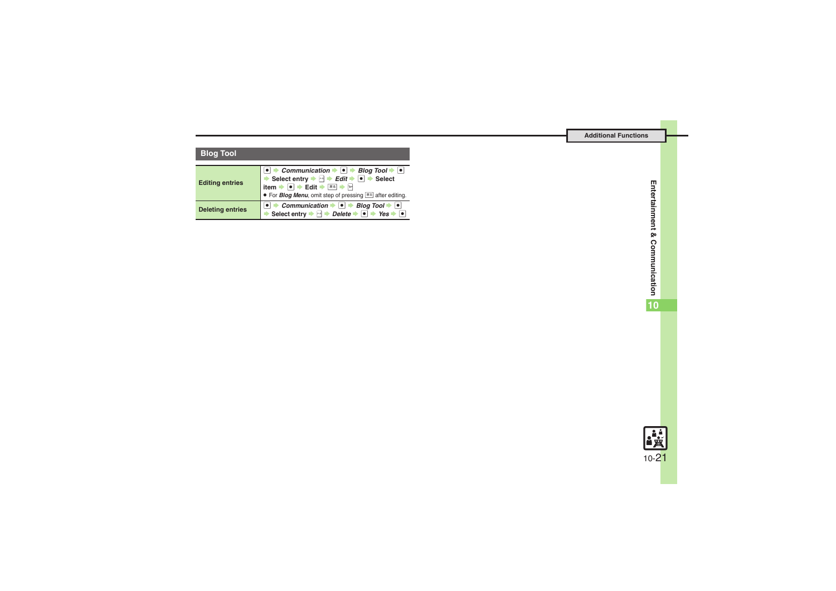# **Blog Tool**

<span id="page-20-1"></span><span id="page-20-0"></span>

| <b>Editing entries</b>  | • $\rightarrow$ Communication $\rightarrow$ • $\rightarrow$ Blog Tool $\rightarrow$ •<br>Select entry $\Rightarrow$ $\overrightarrow{H}$ $\Rightarrow$ $\overrightarrow{E}$ $\overrightarrow{d}$ $\overrightarrow{F}$ $\overrightarrow{e}$ $\Rightarrow$ Select<br>item $\rightarrow$ 0 $\rightarrow$ Edit $\rightarrow \overline{AB}$ $\rightarrow$ $\boxed{2}$<br>• For <b>Blog Menu</b> , omit step of pressing $\overline{\mathbb{R}}$ after editing. |
|-------------------------|-----------------------------------------------------------------------------------------------------------------------------------------------------------------------------------------------------------------------------------------------------------------------------------------------------------------------------------------------------------------------------------------------------------------------------------------------------------|
| <b>Deleting entries</b> | <b>e</b> $\Rightarrow$ Communication $\Rightarrow$ <b>e</b> $\Rightarrow$ Blog Tool $\Rightarrow$ <b>e</b> $\Rightarrow$ Select entry $\Rightarrow$ $\Rightarrow$ Delete $\Rightarrow$ <b>e</b> $\Rightarrow$ Yes $\Rightarrow$ <b>e</b>                                                                                                                                                                                                                  |

**10**